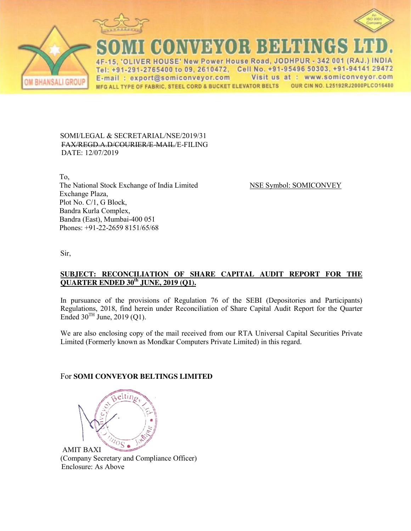





CONNEYS OR BEHENGS

4F-15, 'OLIVER HOUSE' New Power House Road, JODHPUR - 342 001 (RAJ.) INDIA Tel: +91-291-2765400 to 09, 2610472, Cell No. +91-95496 50303, +91-94141 29472 Visit us at : www.somiconveyor.com E-mail: export@somiconveyor.com MFG ALL TYPE OF FABRIC, STEEL CORD & BUCKET ELEVATOR BELTS OUR CIN NO. L25192RJ2000PLCO16480

### SOMI/LEGAL & SECRETARIAL/NSE/2019/31 FAX/REGD.A.D/COURIER/E-MAIL/E-FILING DATE: 12/07/2019

 To, The National Stock Exchange of India Limited NSE Symbol: SOMICONVEY Exchange Plaza, Plot No. C/1, G Block, Bandra Kurla Complex, Bandra (East), Mumbai-400 051 Phones: +91-22-2659 8151/65/68

Sir,

## **SUBJECT: RECONCILIATION OF SHARE CAPITAL AUDIT REPORT FOR THE QUARTER ENDED 30th JUNE, 2019 (Q1).**

In pursuance of the provisions of Regulation 76 of the SEBI (Depositories and Participants) Regulations, 2018, find herein under Reconciliation of Share Capital Audit Report for the Quarter Ended  $30^{TH}$  June, 2019 (Q1).

We are also enclosing copy of the mail received from our RTA Universal Capital Securities Private Limited (Formerly known as Mondkar Computers Private Limited) in this regard.

# For **SOMI CONVEYOR BELTINGS LIMITED**

eltin  $\sqrt[n]{\frac{1}{10}}$ 

AMIT BAXI (Company Secretary and Compliance Officer) Enclosure: As Above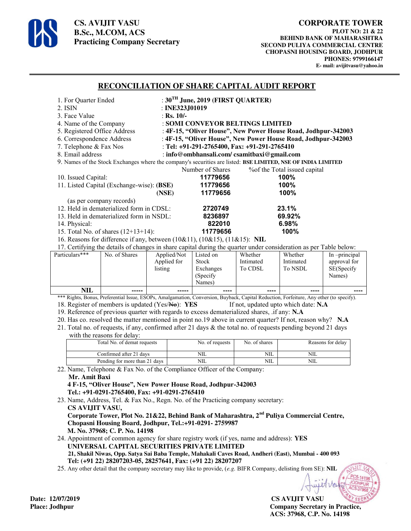

**CS. AVIJIT VASU B.Sc., M.COM, ACS Practicing Company Secretary** 

## **RECONCILIATION OF SHARE CAPITAL AUDIT REPORT**

| 1. For Quarter Ended                                                                                         | : $30^{\text{TH}}$ June, 2019 (FIRST QUARTER)                 |                               |  |  |  |
|--------------------------------------------------------------------------------------------------------------|---------------------------------------------------------------|-------------------------------|--|--|--|
| 2. ISIN                                                                                                      | : INE323J01019                                                |                               |  |  |  |
| 3. Face Value                                                                                                | : Rs. $10/-$                                                  |                               |  |  |  |
| 4. Name of the Company                                                                                       | : SOMI CONVEYOR BELTINGS LIMITED                              |                               |  |  |  |
| 5. Registered Office Address                                                                                 | : 4F-15, "Oliver House", New Power House Road, Jodhpur-342003 |                               |  |  |  |
| 6. Correspondence Address                                                                                    | : 4F-15, "Oliver House", New Power House Road, Jodhpur-342003 |                               |  |  |  |
| 7. Telephone & Fax Nos                                                                                       | : Tel: $+91-291-2765400$ , Fax: $+91-291-2765410$             |                               |  |  |  |
| 8. Email address                                                                                             | : info@ombhansali.com/ csamitbaxi@gmail.com                   |                               |  |  |  |
| 9. Names of the Stock Exchanges where the company's securities are listed: BSE LIMITED, NSE OF INDIA LIMITED |                                                               |                               |  |  |  |
|                                                                                                              | Number of Shares                                              | % of the Total issued capital |  |  |  |
| 10. Issued Capital:                                                                                          | 11779656                                                      | $100\%$                       |  |  |  |
| 11. Listed Capital (Exchange-wise): (BSE)                                                                    | 11779656                                                      | 100%                          |  |  |  |
|                                                                                                              | 11779656<br>(NSE)                                             | 100%                          |  |  |  |
| (as per company records)                                                                                     |                                                               |                               |  |  |  |
| 12. Held in dematerialized form in CDSL:                                                                     | 2720749                                                       | 23.1%                         |  |  |  |
| 13. Held in dematerialized form in NSDL:                                                                     | 8236897                                                       | 69.92%                        |  |  |  |
| 14. Physical:                                                                                                | 822010                                                        | 6.98%                         |  |  |  |
| 15. Total No. of shares $(12+13+14)$ :                                                                       | 11779656                                                      | 100%                          |  |  |  |
| 16. Reasons for difference if any, between $(10&11)$ , $(10&15)$ , $(11&15)$ : NIL                           |                                                               |                               |  |  |  |
|                                                                                                              |                                                               |                               |  |  |  |

17. Certifying the details of changes in share capital during the quarter under consideration as per Table below:

| Particulars*** | No. of Shares | Applied/Not | Listed on    | Whether   | Whether   | In -principal |
|----------------|---------------|-------------|--------------|-----------|-----------|---------------|
|                |               | Applied for | <b>Stock</b> | Intimated | Intimated | approval for  |
|                |               | listing     | Exchanges    | To CDSL   | To NSDL   | SE(Specify    |
|                |               |             | (Specify)    |           |           | Names)        |
|                |               |             | Names)       |           |           |               |
| NIL            | -----         | -----       | ----         | ----      | ----      | ----          |

\*\*\* Rights, Bonus, Preferential Issue, ESOPs, Amalgamation, Conversion, Buyback, Capital Reduction, Forfeiture, Any other (to specify). 18. Register of members is updated (Yes/No): **YES** If not, updated upto which date: **N.A** 

19. Reference of previous quarter with regards to excess dematerialized shares, .if any: **N.A**

20. Has co. resolved the matter mentioned in point no.19 above in current quarter? If not, reason why? **N.A**

- 21. Total no. of requests, if any, confirmed after 21 days & the total no. of requests pending beyond 21 days
- with the reasons for delay.

| $\cdots$                      |                 |               |                   |  |  |  |
|-------------------------------|-----------------|---------------|-------------------|--|--|--|
| Total No. of demat requests   | No. of requests | No. of shares | Reasons for delay |  |  |  |
| Confirmed after 21 days       | NIL             | <b>NIL</b>    | NIL               |  |  |  |
| Pending for more than 21 days | NIL             | NIL           | NIL               |  |  |  |

22. Name, Telephone & Fax No. of the Compliance Officer of the Company: **Mr. Amit Baxi** 

 **4 F-15, "Oliver House", New Power House Road, Jodhpur-342003 Tel.: +91-0291-2765400, Fax: +91-0291-2765410** 

23. Name, Address, Tel. & Fax No., Regn. No. of the Practicing company secretary:  **CS AVIJIT VASU, Corporate Tower, Plot No. 21&22, Behind Bank of Maharashtra, 2nd Puliya Commercial Centre,** 

 **Chopasni Housing Board, Jodhpur, Tel.:+91-0291- 2759987 M. No. 37968; C. P. No. 14198** 

24. Appointment of common agency for share registry work (if yes, name and address): **YES UNIVERSAL CAPITAL SECURITIES PRIVATE LIMITED 21, Shakil Niwas, Opp. Satya Sai Baba Temple, Mahakali Caves Road, Andheri (East), Mumbai - 400 093 Tel: (+91 22) 28207203-05, 28257641, Fax: (+91 22) 28207207**

25. Any other detail that the company secretary may like to provide, (*e.g.* BIFR Company, delisting from SE): **NIL**

**CS AVIJIT VASU Place: Jodhpur Company Secretary in Practice, ACS: 37968, C.P. No. 14198** 

Date: 12/07/2019